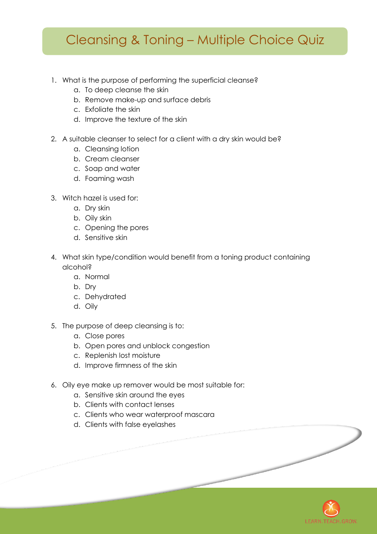## Cleansing & Toning – Multiple Choice Quiz

- 1. What is the purpose of performing the superficial cleanse?
	- a. To deep cleanse the skin
	- b. Remove make-up and surface debris
	- c. Exfoliate the skin
	- d. Improve the texture of the skin
- 2. A suitable cleanser to select for a client with a dry skin would be?
	- a. Cleansing lotion
	- b. Cream cleanser
	- c. Soap and water
	- d. Foaming wash
- 3. Witch hazel is used for:
	- a. Dry skin
	- b. Oily skin
	- c. Opening the pores
	- d. Sensitive skin
- 4. What skin type/condition would benefit from a toning product containing alcohol?
	- a. Normal
	- b. Dry
	- c. Dehydrated
	- d. Oily
- 5. The purpose of deep cleansing is to:
	- a. Close pores
	- b. Open pores and unblock congestion
	- c. Replenish lost moisture
	- d. Improve firmness of the skin
- 6. Oily eye make up remover would be most suitable for:
	- a. Sensitive skin around the eyes
	- b. Clients with contact lenses
	- c. Clients who wear waterproof mascara
	- d. Clients with false eyelashes